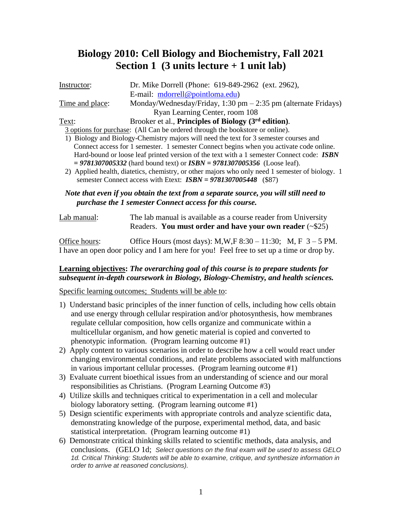# **Biology 2010: Cell Biology and Biochemistry, Fall 2021 Section 1 (3 units lecture + 1 unit lab)**

| Instructor:     | Dr. Mike Dorrell (Phone: 619-849-2962 (ext. 2962),                                              |
|-----------------|-------------------------------------------------------------------------------------------------|
|                 | E-mail: mdorrell@pointloma.edu)                                                                 |
| Time and place: | Monday/Wednesday/Friday, $1:30 \text{ pm} - 2:35 \text{ pm}$ (alternate Fridays)                |
|                 | Ryan Learning Center, room 108                                                                  |
| Text:           | Brooker et al., Principles of Biology (3 <sup>rd</sup> edition).                                |
|                 | 3 options for purchase: (All Can be ordered through the bookstore or online).                   |
|                 | 1) Biology and Biology-Chemistry majors will need the text for 3 semester courses and           |
|                 | Connect access for 1 semester. 1 semester Connect begins when you activate code online.         |
|                 | Hard-bound or loose leaf printed version of the text with a 1 semester Connect code: ISBN       |
|                 | $= 9781307005332$ (hard bound text) or $ISBN = 9781307005356$ (Loose leaf).                     |
|                 | 2) Applied health, diatetics, chemistry, or other majors who only need 1 semester of biology. 1 |
|                 | semester Connect access with Etext: $ISBN = 9781307005448$ (\$87)                               |

*Note that even if you obtain the text from a separate source, you will still need to purchase the 1 semester Connect access for this course.* 

| Lab manual: | The lab manual is available as a course reader from University |  |  |
|-------------|----------------------------------------------------------------|--|--|
|             | Readers. You must order and have your own reader $(\sim 25)$   |  |  |

Office hours: Office Hours (most days):  $M, W, F$  8:30 – 11:30;  $M, F$  3 – 5 PM. I have an open door policy and I am here for you! Feel free to set up a time or drop by.

### **Learning objectives:** *The overarching goal of this course is to prepare students for subsequent in-depth coursework in Biology, Biology-Chemistry, and health sciences.*

### Specific learning outcomes; Students will be able to:

- 1) Understand basic principles of the inner function of cells, including how cells obtain and use energy through cellular respiration and/or photosynthesis, how membranes regulate cellular composition, how cells organize and communicate within a multicellular organism, and how genetic material is copied and converted to phenotypic information. (Program learning outcome #1)
- 2) Apply content to various scenarios in order to describe how a cell would react under changing environmental conditions, and relate problems associated with malfunctions in various important cellular processes. (Program learning outcome #1)
- 3) Evaluate current bioethical issues from an understanding of science and our moral responsibilities as Christians. (Program Learning Outcome #3)
- 4) Utilize skills and techniques critical to experimentation in a cell and molecular biology laboratory setting. (Program learning outcome #1)
- 5) Design scientific experiments with appropriate controls and analyze scientific data, demonstrating knowledge of the purpose, experimental method, data, and basic statistical interpretation. (Program learning outcome #1)
- 6) Demonstrate critical thinking skills related to scientific methods, data analysis, and conclusions. (GELO 1d; *Select questions on the final exam will be used to assess GELO 1d. Critical Thinking: Students will be able to examine, critique, and synthesize information in order to arrive at reasoned conclusions).*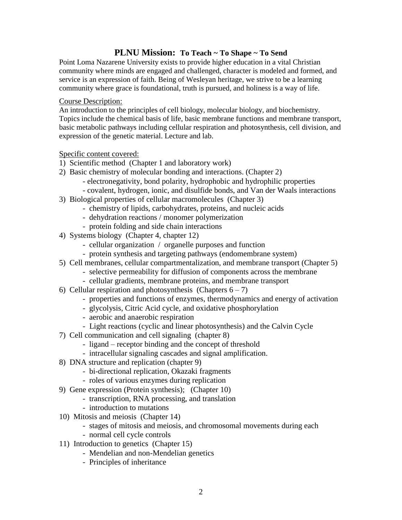### **PLNU Mission: To Teach ~ To Shape ~ To Send**

Point Loma Nazarene University exists to provide higher education in a vital Christian community where minds are engaged and challenged, character is modeled and formed, and service is an expression of faith. Being of Wesleyan heritage, we strive to be a learning community where grace is foundational, truth is pursued, and holiness is a way of life.

#### Course Description:

An introduction to the principles of cell biology, molecular biology, and biochemistry. Topics include the chemical basis of life, basic membrane functions and membrane transport, basic metabolic pathways including cellular respiration and photosynthesis, cell division, and expression of the genetic material. Lecture and lab.

### Specific content covered:

- 1) Scientific method (Chapter 1 and laboratory work)
- 2) Basic chemistry of molecular bonding and interactions. (Chapter 2)
	- electronegativity, bond polarity, hydrophobic and hydrophilic properties
	- covalent, hydrogen, ionic, and disulfide bonds, and Van der Waals interactions
- 3) Biological properties of cellular macromolecules (Chapter 3)
	- chemistry of lipids, carbohydrates, proteins, and nucleic acids
	- dehydration reactions / monomer polymerization
	- protein folding and side chain interactions
- 4) Systems biology (Chapter 4, chapter 12)
	- cellular organization / organelle purposes and function
	- protein synthesis and targeting pathways (endomembrane system)
- 5) Cell membranes, cellular compartmentalization, and membrane transport (Chapter 5)
	- selective permeability for diffusion of components across the membrane
	- cellular gradients, membrane proteins, and membrane transport
- 6) Cellular respiration and photosynthesis (Chapters  $6 7$ )
	- properties and functions of enzymes, thermodynamics and energy of activation
	- glycolysis, Citric Acid cycle, and oxidative phosphorylation
	- aerobic and anaerobic respiration
	- Light reactions (cyclic and linear photosynthesis) and the Calvin Cycle
- 7) Cell communication and cell signaling (chapter 8)
	- ligand receptor binding and the concept of threshold
	- intracellular signaling cascades and signal amplification.
- 8) DNA structure and replication (chapter 9)
	- bi-directional replication, Okazaki fragments
	- roles of various enzymes during replication
- 9) Gene expression (Protein synthesis); (Chapter 10)
	- transcription, RNA processing, and translation
	- introduction to mutations
- 10) Mitosis and meiosis (Chapter 14)
	- stages of mitosis and meiosis, and chromosomal movements during each
	- normal cell cycle controls
- 11) Introduction to genetics (Chapter 15)
	- Mendelian and non-Mendelian genetics
	- Principles of inheritance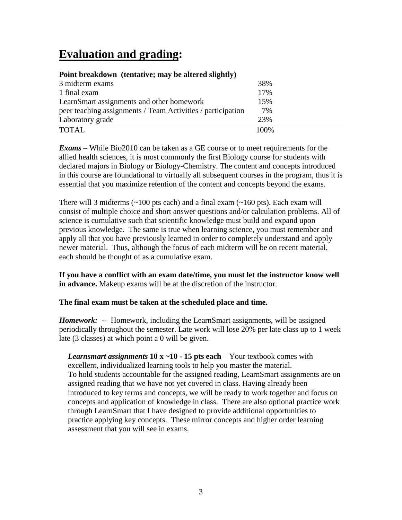# **Evaluation and grading:**

| Point preakdown (tentative; may be altered slightly)        |       |  |
|-------------------------------------------------------------|-------|--|
| 3 midterm exams                                             | 38%   |  |
| 1 final exam                                                | 17%   |  |
| LearnSmart assignments and other homework                   | 15%   |  |
| peer teaching assignments / Team Activities / participation | 7%    |  |
| Laboratory grade                                            | 23%   |  |
| <b>TOTAL</b>                                                | 100\% |  |

### **Point breakdown (tentative; may be altered slightly)**

*Exams* – While Bio2010 can be taken as a GE course or to meet requirements for the allied health sciences, it is most commonly the first Biology course for students with declared majors in Biology or Biology-Chemistry. The content and concepts introduced in this course are foundational to virtually all subsequent courses in the program, thus it is essential that you maximize retention of the content and concepts beyond the exams.

There will 3 midterms  $(\sim 100 \text{ pts each})$  and a final exam  $(\sim 160 \text{ pts})$ . Each exam will consist of multiple choice and short answer questions and/or calculation problems. All of science is cumulative such that scientific knowledge must build and expand upon previous knowledge. The same is true when learning science, you must remember and apply all that you have previously learned in order to completely understand and apply newer material. Thus, although the focus of each midterm will be on recent material, each should be thought of as a cumulative exam.

**If you have a conflict with an exam date/time, you must let the instructor know well in advance.** Makeup exams will be at the discretion of the instructor.

### **The final exam must be taken at the scheduled place and time.**

*Homework:* -- Homework, including the LearnSmart assignments, will be assigned periodically throughout the semester. Late work will lose 20% per late class up to 1 week late (3 classes) at which point a 0 will be given.

*Learnsmart assignments* **10 x ~10 - 15 pts each** – Your textbook comes with excellent, individualized learning tools to help you master the material. To hold students accountable for the assigned reading, LearnSmart assignments are on assigned reading that we have not yet covered in class. Having already been introduced to key terms and concepts, we will be ready to work together and focus on concepts and application of knowledge in class. There are also optional practice work through LearnSmart that I have designed to provide additional opportunities to practice applying key concepts. These mirror concepts and higher order learning assessment that you will see in exams.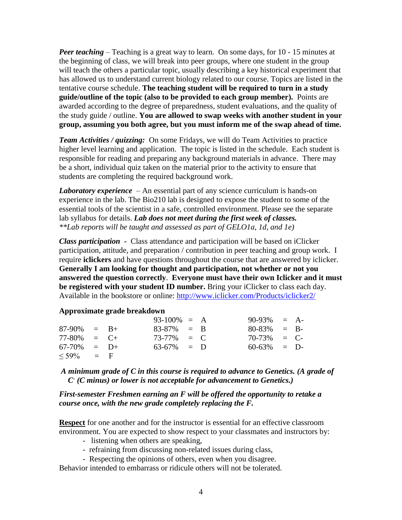*Peer teaching* – Teaching is a great way to learn. On some days, for 10 - 15 minutes at the beginning of class, we will break into peer groups, where one student in the group will teach the others a particular topic, usually describing a key historical experiment that has allowed us to understand current biology related to our course. Topics are listed in the tentative course schedule. **The teaching student will be required to turn in a study guide/outline of the topic (also to be provided to each group member).** Points are awarded according to the degree of preparedness, student evaluations, and the quality of the study guide / outline. **You are allowed to swap weeks with another student in your group, assuming you both agree, but you must inform me of the swap ahead of time.** 

*Team Activities / quizzing:* On some Fridays, we will do Team Activities to practice higher level learning and application. The topic is listed in the schedule. Each student is responsible for reading and preparing any background materials in advance. There may be a short, individual quiz taken on the material prior to the activity to ensure that students are completing the required background work.

*Laboratory experience* – An essential part of any science curriculum is hands-on experience in the lab. The Bio210 lab is designed to expose the student to some of the essential tools of the scientist in a safe, controlled environment. Please see the separate lab syllabus for details. *Lab does not meet during the first week of classes. \*\*Lab reports will be taught and assessed as part of GELO1a, 1d, and 1e)*

*Class participation* **-** Class attendance and participation will be based on iClicker participation, attitude, and preparation / contribution in peer teaching and group work.I require **iclickers** and have questions throughout the course that are answered by iclicker. **Generally I am looking for thought and participation, not whether or not you answered the question correctly**. **Everyone must have their own Iclicker and it must be registered with your student ID number.** Bring your iClicker to class each day. Available in the bookstore or online: <http://www.iclicker.com/Products/iclicker2/>

#### **Approximate grade breakdown**

|                |  | $93-100\% = A$ |  | $90-93\% = A$  |  |
|----------------|--|----------------|--|----------------|--|
| $87-90\% = B+$ |  | $83-87\% = B$  |  | $80-83\% = B-$ |  |
| $77-80\% = C+$ |  | $73-77\% = C$  |  | $70-73\% = C$  |  |
| $67-70\% = D+$ |  | $63-67\% = D$  |  | $60-63\% = D$  |  |
| $\leq$ 59% = F |  |                |  |                |  |

*A minimum grade of C in this course is required to advance to Genetics. (A grade of C- (C minus) or lower is not acceptable for advancement to Genetics.)*

*First-semester Freshmen earning an F will be offered the opportunity to retake a course once, with the new grade completely replacing the F.*

**Respect** for one another and for the instructor is essential for an effective classroom environment. You are expected to show respect to your classmates and instructors by:

- listening when others are speaking,
- refraining from discussing non-related issues during class,
- Respecting the opinions of others, even when you disagree.

Behavior intended to embarrass or ridicule others will not be tolerated.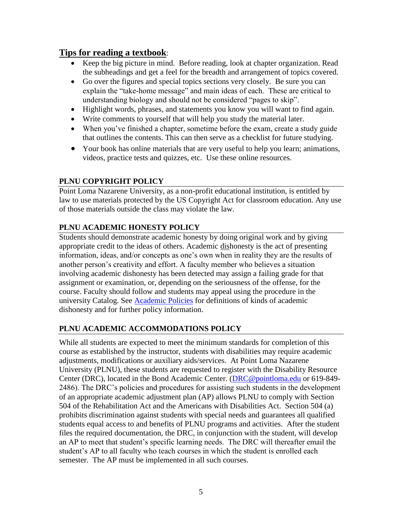# **Tips for reading a textbook**:

- Keep the big picture in mind. Before reading, look at chapter organization. Read the subheadings and get a feel for the breadth and arrangement of topics covered.
- Go over the figures and special topics sections very closely. Be sure you can explain the "take-home message" and main ideas of each. These are critical to understanding biology and should not be considered "pages to skip".
- Highlight words, phrases, and statements you know you will want to find again.
- Write comments to yourself that will help you study the material later.
- When you've finished a chapter, sometime before the exam, create a study guide that outlines the contents. This can then serve as a checklist for future studying.
- Your book has online materials that are very useful to help you learn; animations, videos, practice tests and quizzes, etc. Use these online resources.

## **PLNU COPYRIGHT POLICY**

Point Loma Nazarene University, as a non-profit educational institution, is entitled by law to use materials protected by the US Copyright Act for classroom education. Any use of those materials outside the class may violate the law.

# **PLNU ACADEMIC HONESTY POLICY**

Students should demonstrate academic honesty by doing original work and by giving appropriate credit to the ideas of others. Academic dishonesty is the act of presenting information, ideas, and/or concepts as one's own when in reality they are the results of another person's creativity and effort. A faculty member who believes a situation involving academic dishonesty has been detected may assign a failing grade for that assignment or examination, or, depending on the seriousness of the offense, for the course. Faculty should follow and students may appeal using the procedure in the university Catalog. See [Academic Policies](http://catalog.pointloma.edu/content.php?catoid=18&navoid=1278) for definitions of kinds of academic dishonesty and for further policy information.

# **PLNU ACADEMIC ACCOMMODATIONS POLICY**

While all students are expected to meet the minimum standards for completion of this course as established by the instructor, students with disabilities may require academic adjustments, modifications or auxiliary aids/services. At Point Loma Nazarene University (PLNU), these students are requested to register with the Disability Resource Center (DRC), located in the Bond Academic Center. [\(DRC@pointloma.edu](mailto:DRC@pointloma.edu) or 619-849- 2486). The DRC's policies and procedures for assisting such students in the development of an appropriate academic adjustment plan (AP) allows PLNU to comply with Section 504 of the Rehabilitation Act and the Americans with Disabilities Act. Section 504 (a) prohibits discrimination against students with special needs and guarantees all qualified students equal access to and benefits of PLNU programs and activities. After the student files the required documentation, the DRC, in conjunction with the student, will develop an AP to meet that student's specific learning needs. The DRC will thereafter email the student's AP to all faculty who teach courses in which the student is enrolled each semester. The AP must be implemented in all such courses.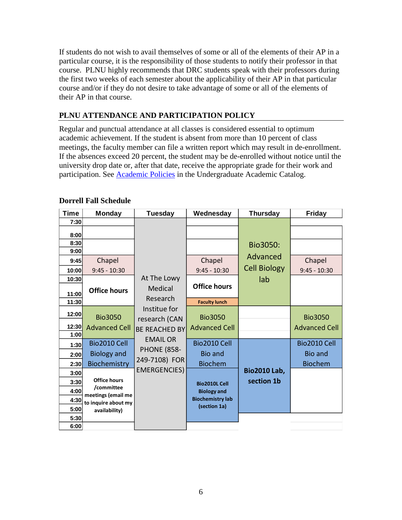If students do not wish to avail themselves of some or all of the elements of their AP in a particular course, it is the responsibility of those students to notify their professor in that course. PLNU highly recommends that DRC students speak with their professors during the first two weeks of each semester about the applicability of their AP in that particular course and/or if they do not desire to take advantage of some or all of the elements of their AP in that course.

# **PLNU ATTENDANCE AND PARTICIPATION POLICY**

Regular and punctual attendance at all classes is considered essential to optimum academic achievement. If the student is absent from more than 10 percent of class meetings, the faculty member can file a written report which may result in de-enrollment. If the absences exceed 20 percent, the student may be de-enrolled without notice until the university drop date or, after that date, receive the appropriate grade for their work and participation. See [Academic Policies](http://catalog.pointloma.edu/content.php?catoid=18&navoid=1278) in the Undergraduate Academic Catalog.

| <b>Time</b>   | <b>Monday</b>                        | <b>Tuesday</b>                        | Wednesday                                  | <b>Thursday</b>                   | <b>Friday</b>                  |
|---------------|--------------------------------------|---------------------------------------|--------------------------------------------|-----------------------------------|--------------------------------|
| 7:30          |                                      |                                       |                                            |                                   |                                |
| 8:00          |                                      |                                       |                                            |                                   |                                |
| 8:30<br>9:00  |                                      |                                       |                                            | Bio3050:                          |                                |
| 9:45          | Chapel                               |                                       | Chapel                                     | Advanced                          | Chapel                         |
| 10:00         | $9:45 - 10:30$                       |                                       | $9:45 - 10:30$                             | <b>Cell Biology</b>               | $9:45 - 10:30$                 |
| 10:30         |                                      | At The Lowy                           |                                            | lab                               |                                |
| 11:00         | <b>Office hours</b>                  | Medical                               | <b>Office hours</b>                        |                                   |                                |
| 11:30         |                                      | Research                              | <b>Faculty lunch</b>                       |                                   |                                |
| 12:00         | <b>Bio3050</b>                       | Institue for<br>research (CAN         | <b>Bio3050</b>                             |                                   | <b>Bio3050</b>                 |
| 12:30<br>1:00 | <b>Advanced Cell</b>                 | <b>BE REACHED BY</b>                  | <b>Advanced Cell</b>                       |                                   | <b>Advanced Cell</b>           |
| 1:30          | Bio2010 Cell                         | <b>EMAIL OR</b><br><b>PHONE (858-</b> | Bio2010 Cell<br><b>Bio and</b>             |                                   | Bio2010 Cell<br><b>Bio and</b> |
| 2:00<br>2:30  | <b>Biology and</b><br>Biochemistry   | 249-7108) FOR                         | <b>Biochem</b>                             |                                   | <b>Biochem</b>                 |
| 3:00<br>3:30  | <b>Office hours</b>                  | <b>EMERGENCIES)</b>                   |                                            | <b>Bio2010 Lab,</b><br>section 1b |                                |
| 4:00          | /committee<br>meetings (email me     |                                       | <b>Bio2010L Cell</b><br><b>Biology and</b> |                                   |                                |
| 4:30<br>5:00  | to inquire about my<br>availability) |                                       | <b>Biochemistry lab</b><br>(section 1a)    |                                   |                                |
| 5:30<br>6:00  |                                      |                                       |                                            |                                   |                                |

### **Dorrell Fall Schedule**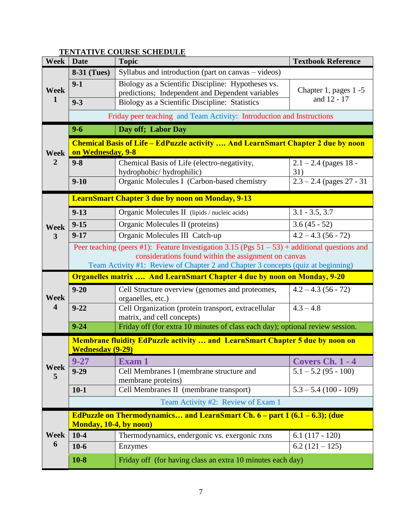#### **Week Date Topic Textbook Reference Week 1 8-31 (Tues)** Syllabus and introduction (part on canvas – videos) **9-1** Biology as a Scientific Discipline: Hypotheses vs. predictions; Independent and Dependent variables Chapter 1, pages 1 -5<br>
Richards Chapter 1, pages 1 -5 **9-3** Biology as a Scientific Discipline: Statistics Friday peer teaching and Team Activity: Introduction and Instructions **Week 2 9-6 Day off; Labor Day Chemical Basis of Life – EdPuzzle activity …. And LearnSmart Chapter 2 due by noon on Wednesday, 9-8 9-8** Chemical Basis of Life (electro-negativity, hydrophobic/ hydrophilic)  $2.1 - 2.4$  (pages 18 -31) **9-10** Organic Molecules I (Carbon-based chemistry  $\begin{bmatrix} 2.3 - 2.4 \text{ (pages 27 - 31)} \end{bmatrix}$ **Week 3 LearnSmart Chapter 3 due by noon on Monday, 9-13 9-13** Organic Molecules II (lipids / nucleic acids) 3.1 - 3.5, 3.7 **9-15** Organic Molecules II (proteins) 3.6 (45 - 52) **9-17** Organic Molecules III Catch-up 4.2 – 4.3 (56 - 72) Peer teaching (peers #1): Feature Investigation 3.15 (Pgs  $51 - 53$ ) + additional questions and considerations found within the assignment on canvas Team Activity #1: Review of Chapter 2 and Chapter 3 concepts (quiz at beginning) **Week 4 Organelles matrix …. And LearnSmart Chapter 4 due by noon on Monday, 9-20 9-20** Cell Structure overview (genomes and proteomes, organelles, etc.)  $4.2 - 4.3(56 - 72)$ **9-22** Cell Organization (protein transport, extracellular matrix, and cell concepts)  $\overline{4.3 - 4.8}$ **9-24** Friday off (for extra 10 minutes of class each day); optional review session. **Week 5 Membrane fluidity EdPuzzle activity … and LearnSmart Chapter 5 due by noon on Wednesday (9-29) 9-27 Exam 1 Covers Ch. 1 - 4 9-29** Cell Membranes I (membrane structure and membrane proteins)  $\overline{5.1 - 5.2 (95 - 100)}$ **10-1** Cell Membranes II (membrane transport) 5.3 – 5.4 (100 - 109) Team Activity #2: Review of Exam 1 **Week 6 EdPuzzle on Thermodynamics… and LearnSmart Ch. 6 – part 1 (6.1 – 6.3); (due Monday, 10-4, by noon) 10-4** Thermodynamics, endergonic vs. exergonic rxns  $\begin{bmatrix} 6.1 & (117 - 120) \end{bmatrix}$ **10-6** Enzymes 6.2 (121 – 125) **10-8** Friday off (for having class an extra 10 minutes each day)

### **TENTATIVE COURSE SCHEDULE**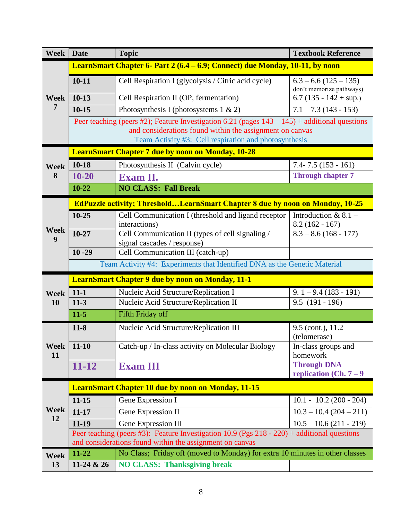| Week              | <b>Date</b>                                                                                                                                                | <b>Topic</b>                                                                                     | <b>Textbook Reference</b>                          |  |  |  |  |
|-------------------|------------------------------------------------------------------------------------------------------------------------------------------------------------|--------------------------------------------------------------------------------------------------|----------------------------------------------------|--|--|--|--|
|                   | LearnSmart Chapter 6- Part 2 (6.4 – 6.9; Connect) due Monday, 10-11, by noon                                                                               |                                                                                                  |                                                    |  |  |  |  |
| <b>Week</b>       | $10 - 11$                                                                                                                                                  | Cell Respiration I (glycolysis / Citric acid cycle)                                              | $6.3 - 6.6(125 - 135)$<br>don't memorize pathways) |  |  |  |  |
|                   | $10-13$                                                                                                                                                    | Cell Respiration II (OP, fermentation)                                                           | 6.7 $(135 - 142 + \text{sup.})$                    |  |  |  |  |
| 7                 | $10 - 15$                                                                                                                                                  | Photosynthesis I (photosystems $1 \& 2$ )                                                        | $7.1 - 7.3(143 - 153)$                             |  |  |  |  |
|                   |                                                                                                                                                            | Peer teaching (peers #2); Feature Investigation 6.21 (pages $143 - 145$ ) + additional questions |                                                    |  |  |  |  |
|                   | and considerations found within the assignment on canvas<br>Team Activity #3: Cell respiration and photosynthesis                                          |                                                                                                  |                                                    |  |  |  |  |
|                   | <b>LearnSmart Chapter 7 due by noon on Monday, 10-28</b>                                                                                                   |                                                                                                  |                                                    |  |  |  |  |
| <b>Week</b>       | $10 - 18$                                                                                                                                                  | Photosynthesis II (Calvin cycle)                                                                 | $7.4 - 7.5(153 - 161)$                             |  |  |  |  |
| 8                 | $10 - 20$                                                                                                                                                  | Exam II.                                                                                         | <b>Through chapter 7</b>                           |  |  |  |  |
|                   | $10 - 22$                                                                                                                                                  | <b>NO CLASS: Fall Break</b>                                                                      |                                                    |  |  |  |  |
|                   |                                                                                                                                                            | <b>EdPuzzle activity; ThresholdLearnSmart Chapter 8 due by noon on Monday, 10-25</b>             |                                                    |  |  |  |  |
|                   | $10 - 25$                                                                                                                                                  | Cell Communication I (threshold and ligand receptor<br>interactions)                             | Introduction & $8.1 -$<br>$8.2(162 - 167)$         |  |  |  |  |
| Week              | $10 - 27$                                                                                                                                                  | Cell Communication II (types of cell signaling /                                                 | $8.3 - 8.6(168 - 177)$                             |  |  |  |  |
| 9                 |                                                                                                                                                            | signal cascades / response)                                                                      |                                                    |  |  |  |  |
|                   | $10 - 29$                                                                                                                                                  | Cell Communication III (catch-up)                                                                |                                                    |  |  |  |  |
|                   | Team Activity #4: Experiments that Identified DNA as the Genetic Material                                                                                  |                                                                                                  |                                                    |  |  |  |  |
|                   | <b>LearnSmart Chapter 9 due by noon on Monday, 11-1</b>                                                                                                    |                                                                                                  |                                                    |  |  |  |  |
| <b>Week</b>       | $11 - 1$                                                                                                                                                   | Nucleic Acid Structure/Replication I                                                             | $9.1 - 9.4(183 - 191)$                             |  |  |  |  |
| <b>10</b>         | $11-3$                                                                                                                                                     | Nucleic Acid Structure/Replication II                                                            | $9.5(191-196)$                                     |  |  |  |  |
|                   | $11 - 5$                                                                                                                                                   | <b>Fifth Friday off</b>                                                                          |                                                    |  |  |  |  |
|                   | $11 - 8$                                                                                                                                                   | Nucleic Acid Structure/Replication III                                                           | 9.5 (cont.), 11.2<br>(telomerase)                  |  |  |  |  |
| <b>Week</b><br>11 | $11 - 10$                                                                                                                                                  | Catch-up / In-class activity on Molecular Biology                                                | In-class groups and<br>homework                    |  |  |  |  |
|                   | $11 - 12$                                                                                                                                                  | <b>Exam III</b>                                                                                  | <b>Through DNA</b>                                 |  |  |  |  |
|                   |                                                                                                                                                            |                                                                                                  | replication (Ch. $7-9$                             |  |  |  |  |
|                   |                                                                                                                                                            | <b>LearnSmart Chapter 10 due by noon on Monday, 11-15</b>                                        |                                                    |  |  |  |  |
|                   | $11 - 15$                                                                                                                                                  | Gene Expression I                                                                                | $10.1 - 10.2(200 - 204)$                           |  |  |  |  |
| Week<br>12        | $11 - 17$                                                                                                                                                  | Gene Expression II                                                                               | $10.3 - 10.4(204 - 211)$                           |  |  |  |  |
|                   | $11-19$                                                                                                                                                    | Gene Expression III                                                                              | $10.5 - 10.6(211 - 219)$                           |  |  |  |  |
|                   | Peer teaching (peers #3): Feature Investigation 10.9 (Pgs $218 - 220$ ) + additional questions<br>and considerations found within the assignment on canvas |                                                                                                  |                                                    |  |  |  |  |
| Week              | 11-22                                                                                                                                                      | No Class; Friday off (moved to Monday) for extra 10 minutes in other classes                     |                                                    |  |  |  |  |
| 13                | 11-24 & 26                                                                                                                                                 | <b>NO CLASS: Thanksgiving break</b>                                                              |                                                    |  |  |  |  |